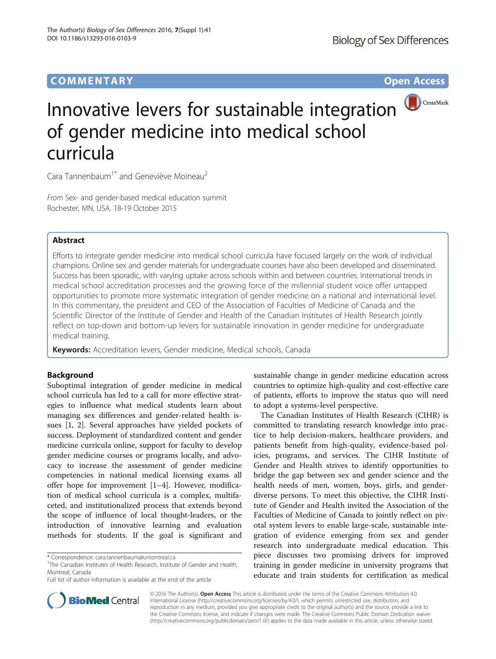# **COMMENTARY COMMENTARY Open Access**



# Innovative levers for sustainable integration of gender medicine into medical school curricula

Cara Tannenbaum<sup>1\*</sup> and Geneviève Moineau<sup>2</sup>

From Sex- and gender-based medical education summit Rochester, MN, USA. 18-19 October 2015

## Abstract

Efforts to integrate gender medicine into medical school curricula have focused largely on the work of individual champions. Online sex and gender materials for undergraduate courses have also been developed and disseminated. Success has been sporadic, with varying uptake across schools within and between countries. International trends in medical school accreditation processes and the growing force of the millennial student voice offer untapped opportunities to promote more systematic integration of gender medicine on a national and international level. In this commentary, the president and CEO of the Association of Faculties of Medicine of Canada and the Scientific Director of the Institute of Gender and Health of the Canadian Institutes of Health Research jointly reflect on top-down and bottom-up levers for sustainable innovation in gender medicine for undergraduate medical training.

Keywords: Accreditation levers, Gender medicine, Medical schools, Canada

## Background

Suboptimal integration of gender medicine in medical school curricula has led to a call for more effective strategies to influence what medical students learn about managing sex differences and gender-related health issues [[1](#page-2-0), [2\]](#page-2-0). Several approaches have yielded pockets of success. Deployment of standardized content and gender medicine curricula online, support for faculty to develop gender medicine courses or programs locally, and advocacy to increase the assessment of gender medicine competencies in national medical licensing exams all offer hope for improvement [\[1](#page-2-0)–[4](#page-2-0)]. However, modification of medical school curricula is a complex, multifaceted, and institutionalized process that extends beyond the scope of influence of local thought-leaders, or the introduction of innovative learning and evaluation methods for students. If the goal is significant and

sustainable change in gender medicine education across countries to optimize high-quality and cost-effective care of patients, efforts to improve the status quo will need to adopt a systems-level perspective.

The Canadian Institutes of Health Research (CIHR) is committed to translating research knowledge into practice to help decision-makers, healthcare providers, and patients benefit from high-quality, evidence-based policies, programs, and services. The CIHR Institute of Gender and Health strives to identify opportunities to bridge the gap between sex and gender science and the health needs of men, women, boys, girls, and genderdiverse persons. To meet this objective, the CIHR Institute of Gender and Health invited the Association of the Faculties of Medicine of Canada to jointly reflect on pivotal system levers to enable large-scale, sustainable integration of evidence emerging from sex and gender research into undergraduate medical education. This piece discusses two promising drivers for improved training in gender medicine in university programs that educate and train students for certification as medical



© 2016 The Author(s). Open Access This article is distributed under the terms of the Creative Commons Attribution 4.0 International License [\(http://creativecommons.org/licenses/by/4.0/](http://creativecommons.org/licenses/by/4.0/)), which permits unrestricted use, distribution, and reproduction in any medium, provided you give appropriate credit to the original author(s) and the source, provide a link to the Creative Commons license, and indicate if changes were made. The Creative Commons Public Domain Dedication waiver [\(http://creativecommons.org/publicdomain/zero/1.0/](http://creativecommons.org/publicdomain/zero/1.0/)) applies to the data made available in this article, unless otherwise stated.

<sup>\*</sup> Correspondence: [cara.tannenbaum@umontreal.ca](mailto:cara.tannenbaum@umontreal.ca) <sup>1</sup>

<sup>&</sup>lt;sup>1</sup>The Canadian Institutes of Health Research, Institute of Gender and Health, Montreal, Canada

Full list of author information is available at the end of the article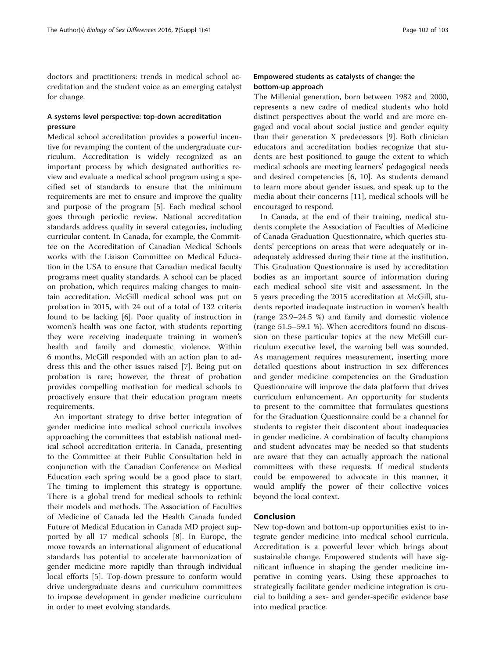doctors and practitioners: trends in medical school accreditation and the student voice as an emerging catalyst for change.

## A systems level perspective: top-down accreditation pressure

Medical school accreditation provides a powerful incentive for revamping the content of the undergraduate curriculum. Accreditation is widely recognized as an important process by which designated authorities review and evaluate a medical school program using a specified set of standards to ensure that the minimum requirements are met to ensure and improve the quality and purpose of the program [[5\]](#page-2-0). Each medical school goes through periodic review. National accreditation standards address quality in several categories, including curricular content. In Canada, for example, the Committee on the Accreditation of Canadian Medical Schools works with the Liaison Committee on Medical Education in the USA to ensure that Canadian medical faculty programs meet quality standards. A school can be placed on probation, which requires making changes to maintain accreditation. McGill medical school was put on probation in 2015, with 24 out of a total of 132 criteria found to be lacking [\[6](#page-2-0)]. Poor quality of instruction in women's health was one factor, with students reporting they were receiving inadequate training in women's health and family and domestic violence. Within 6 months, McGill responded with an action plan to address this and the other issues raised [\[7\]](#page-2-0). Being put on probation is rare; however, the threat of probation provides compelling motivation for medical schools to proactively ensure that their education program meets requirements.

An important strategy to drive better integration of gender medicine into medical school curricula involves approaching the committees that establish national medical school accreditation criteria. In Canada, presenting to the Committee at their Public Consultation held in conjunction with the Canadian Conference on Medical Education each spring would be a good place to start. The timing to implement this strategy is opportune. There is a global trend for medical schools to rethink their models and methods. The Association of Faculties of Medicine of Canada led the Health Canada funded Future of Medical Education in Canada MD project supported by all 17 medical schools [[8\]](#page-2-0). In Europe, the move towards an international alignment of educational standards has potential to accelerate harmonization of gender medicine more rapidly than through individual local efforts [\[5](#page-2-0)]. Top-down pressure to conform would drive undergraduate deans and curriculum committees to impose development in gender medicine curriculum in order to meet evolving standards.

## Empowered students as catalysts of change: the bottom-up approach

The Millenial generation, born between 1982 and 2000, represents a new cadre of medical students who hold distinct perspectives about the world and are more engaged and vocal about social justice and gender equity than their generation X predecessors [[9\]](#page-2-0). Both clinician educators and accreditation bodies recognize that students are best positioned to gauge the extent to which medical schools are meeting learners' pedagogical needs and desired competencies [[6, 10](#page-2-0)]. As students demand to learn more about gender issues, and speak up to the media about their concerns [[11](#page-2-0)], medical schools will be encouraged to respond.

In Canada, at the end of their training, medical students complete the Association of Faculties of Medicine of Canada Graduation Questionnaire, which queries students' perceptions on areas that were adequately or inadequately addressed during their time at the institution. This Graduation Questionnaire is used by accreditation bodies as an important source of information during each medical school site visit and assessment. In the 5 years preceding the 2015 accreditation at McGill, students reported inadequate instruction in women's health (range 23.9–24.5 %) and family and domestic violence (range 51.5–59.1 %). When accreditors found no discussion on these particular topics at the new McGill curriculum executive level, the warning bell was sounded. As management requires measurement, inserting more detailed questions about instruction in sex differences and gender medicine competencies on the Graduation Questionnaire will improve the data platform that drives curriculum enhancement. An opportunity for students to present to the committee that formulates questions for the Graduation Questionnaire could be a channel for students to register their discontent about inadequacies in gender medicine. A combination of faculty champions and student advocates may be needed so that students are aware that they can actually approach the national committees with these requests. If medical students could be empowered to advocate in this manner, it would amplify the power of their collective voices beyond the local context.

### Conclusion

New top-down and bottom-up opportunities exist to integrate gender medicine into medical school curricula. Accreditation is a powerful lever which brings about sustainable change. Empowered students will have significant influence in shaping the gender medicine imperative in coming years. Using these approaches to strategically facilitate gender medicine integration is crucial to building a sex- and gender-specific evidence base into medical practice.